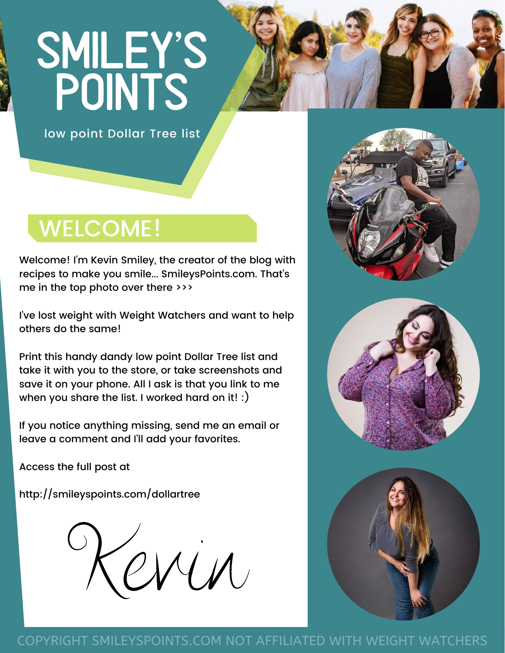# SMILEY'S POINTS



low point Dollar Tree list

# WELCOME!

Welcome! I'm Kevin Smiley, the creator of the blog with recipes to make you smile... SmileysPoints.com. That's me in the top photo over there >>>

I've lost weight with Weight Watchers and want to help others do the same!

Print this handy dandy low point Dollar Tree list and take it with you to the store, or take screenshots and save it on your phone. All I ask is that you link to me when you share the list. I worked hard on it! :)

If you notice anything missing, send me an email or leave a comment and I'll add your favorites.

Access the full post at

[http://smileyspoints.com/dollartree](http://smileyspoints.com/)







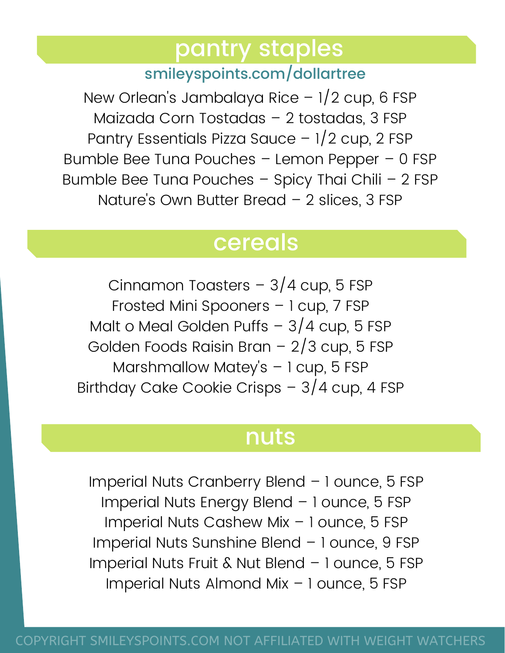# pantry staples

#### smileyspoints.com/dollartree

New Orlean's Jambalaya Rice – 1/2 cup, 6 FSP Maizada Corn Tostadas – 2 tostadas, 3 FSP Pantry Essentials Pizza Sauce – 1/2 cup, 2 FSP Bumble Bee Tuna Pouches – Lemon Pepper – 0 FSP Bumble Bee Tuna Pouches – Spicy Thai Chili – 2 FSP Nature's Own Butter Bread - 2 slices, 3 FSP

# cereals

Cinnamon Toasters  $-3/4$  cup, 5 FSP Frosted Mini Spooners – 1 cup, 7 FSP Malt o Meal Golden Puffs  $-3/4$  cup, 5 FSP Golden Foods Raisin Bran – 2/3 cup, 5 FSP Marshmallow Matey's – 1 cup, 5 FSP Birthday Cake Cookie Crisps – 3/4 cup, 4 FSP

# nuts

Imperial Nuts Cranberry Blend – 1 ounce, 5 FSP Imperial Nuts Energy Blend – 1 ounce, 5 FSP Imperial Nuts Cashew Mix – 1 ounce, 5 FSP Imperial Nuts Sunshine Blend – 1 ounce, 9 FSP Imperial Nuts Fruit & Nut Blend – 1 ounce, 5 FSP Imperial Nuts Almond Mix – 1 ounce, 5 FSP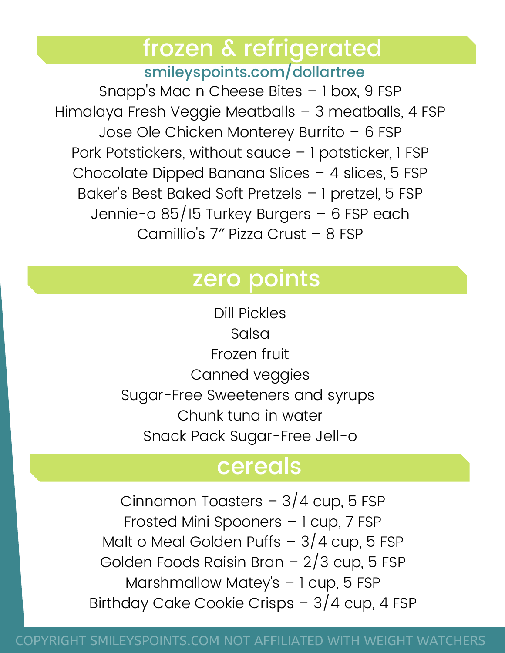# frozen & refrigerated

smileyspoints.com/dollartree

Snapp's Mac n Cheese Bites – 1 box, 9 FSP Himalaya Fresh Veggie Meatballs – 3 meatballs, 4 FSP Jose Ole Chicken Monterey Burrito – 6 FSP Pork Potstickers, without sauce – 1 potsticker, 1 FSP Chocolate Dipped Banana Slices – 4 slices, 5 FSP Baker's Best Baked Soft Pretzels – 1 pretzel, 5 FSP Jennie-o 85/15 Turkey Burgers – 6 FSP each Camillio's 7″ Pizza Crust – 8 FSP

## zero points

Dill Pickles Salsa Frozen fruit Canned veggies Sugar-Free Sweeteners and syrups Chunk tuna in water Snack Pack Sugar-Free Jell-o

# cereals

Cinnamon Toasters  $-3/4$  cup, 5 FSP Frosted Mini Spooners – 1 cup, 7 FSP Malt o Meal Golden Puffs  $-3/4$  cup, 5 FSP Golden Foods Raisin Bran – 2/3 cup, 5 FSP Marshmallow Matey's – 1 cup, 5 FSP Birthday Cake Cookie Crisps – 3/4 cup, 4 FSP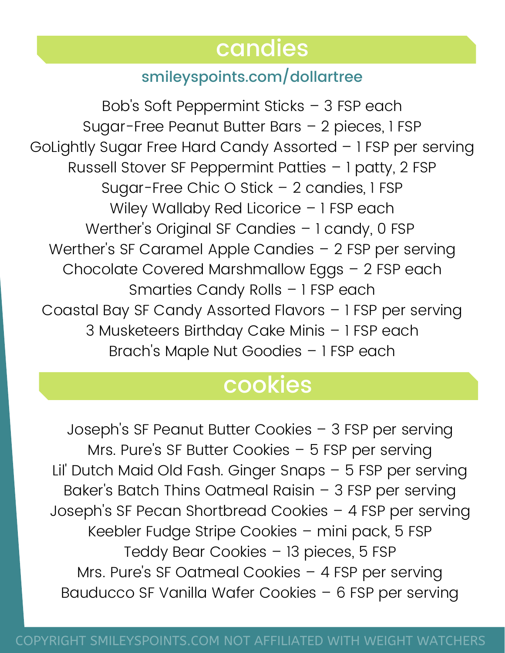# candies

#### smileyspoints.com/dollartree

Bob's Soft Peppermint Sticks – 3 FSP each Sugar-Free Peanut Butter Bars – 2 pieces, 1 FSP GoLightly Sugar Free Hard Candy Assorted – 1 FSP per serving Russell Stover SF Peppermint Patties – 1 patty, 2 FSP Sugar-Free Chic O Stick – 2 candies, 1 FSP Wiley Wallaby Red Licorice - 1 FSP each Werther's Original SF Candies – 1 candy, 0 FSP Werther's SF Caramel Apple Candies – 2 FSP per serving Chocolate Covered Marshmallow Eggs – 2 FSP each Smarties Candy Rolls – 1 FSP each Coastal Bay SF Candy Assorted Flavors – 1 FSP per serving 3 Musketeers Birthday Cake Minis – 1 FSP each Brach's Maple Nut Goodies – 1 FSP each

# cookies

Joseph's SF Peanut Butter Cookies – 3 FSP per serving Mrs. Pure's SF Butter Cookies – 5 FSP per serving Lil' Dutch Maid Old Fash. Ginger Snaps – 5 FSP per serving Baker's Batch Thins Oatmeal Raisin – 3 FSP per serving Joseph's SF Pecan Shortbread Cookies – 4 FSP per serving Keebler Fudge Stripe Cookies – mini pack, 5 FSP Teddy Bear Cookies – 13 pieces, 5 FSP Mrs. Pure's SF Oatmeal Cookies – 4 FSP per serving Bauducco SF Vanilla Wafer Cookies – 6 FSP per serving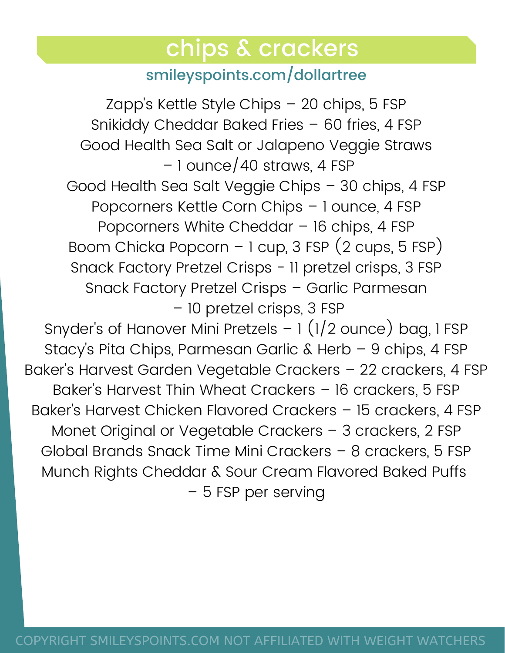## chips & crackers

#### smileyspoints.com/dollartree

Zapp's Kettle Style Chips – 20 chips, 5 FSP Snikiddy Cheddar Baked Fries – 60 fries, 4 FSP Good Health Sea Salt or Jalapeno Veggie Straws – 1 ounce/40 straws, 4 FSP Good Health Sea Salt Veggie Chips – 30 chips, 4 FSP Popcorners Kettle Corn Chips – 1 ounce, 4 FSP Popcorners White Cheddar – 16 chips, 4 FSP Boom Chicka Popcorn – 1 cup, 3 FSP (2 cups, 5 FSP) Snack Factory Pretzel Crisps - 11 pretzel crisps, 3 FSP Snack Factory Pretzel Crisps – Garlic Parmesan – 10 pretzel crisps, 3 FSP Snyder's of Hanover Mini Pretzels – 1 (1/2 ounce) bag, 1 FSP Stacy's Pita Chips, Parmesan Garlic & Herb – 9 chips, 4 FSP Baker's Harvest Garden Vegetable Crackers – 22 crackers, 4 FSP Baker's Harvest Thin Wheat Crackers – 16 crackers, 5 FSP Baker's Harvest Chicken Flavored Crackers – 15 crackers, 4 FSP Monet Original or Vegetable Crackers – 3 crackers, 2 FSP Global Brands Snack Time Mini Crackers – 8 crackers, 5 FSP Munch Rights Cheddar & Sour Cream Flavored Baked Puffs – 5 FSP per serving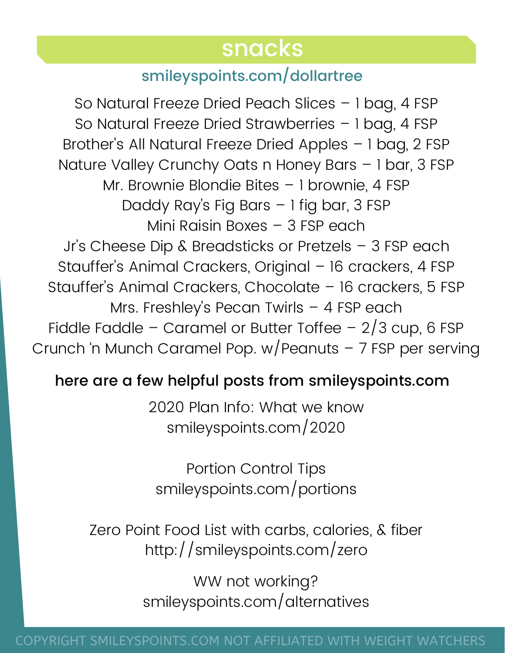### snacks

#### smileyspoints.com/dollartree

So Natural Freeze Dried Peach Slices – 1 bag, 4 FSP So Natural Freeze Dried Strawberries – 1 bag, 4 FSP Brother's All Natural Freeze Dried Apples – 1 bag, 2 FSP Nature Valley Crunchy Oats n Honey Bars – 1 bar, 3 FSP Mr. Brownie Blondie Bites – 1 brownie, 4 FSP Daddy Ray's Fig Bars – 1 fig bar, 3 FSP Mini Raisin Boxes – 3 FSP each Jr's Cheese Dip & Breadsticks or Pretzels – 3 FSP each Stauffer's Animal Crackers, Original – 16 crackers, 4 FSP Stauffer's Animal Crackers, Chocolate – 16 crackers, 5 FSP Mrs. Freshley's Pecan Twirls – 4 FSP each Fiddle Faddle – Caramel or Butter Toffee –  $2/3$  cup, 6 FSP Crunch 'n Munch Caramel Pop. w/Peanuts – 7 FSP per serving

#### here are a few helpful posts from smileyspoints.com

2020 Plan Info: What we know smileyspoints.com/2020

Portion Control Tips smileyspoints.com/portions

Zero Point Food List with carbs, calories, & fiber http://smileyspoints.com/zero

> WW not working? smileyspoints.com/alternatives